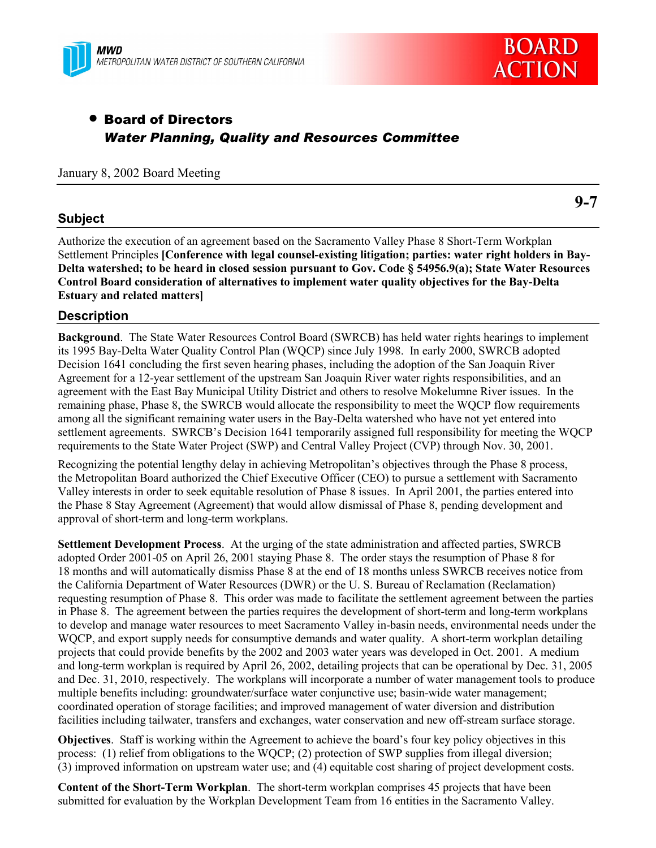



# • Board of Directors *Water Planning, Quality and Resources Committee*

#### January 8, 2002 Board Meeting

#### **Subject**

**9-7**

Authorize the execution of an agreement based on the Sacramento Valley Phase 8 Short-Term Workplan Settlement Principles **[Conference with legal counsel-existing litigation; parties: water right holders in Bay-Delta watershed; to be heard in closed session pursuant to Gov. Code ß 54956.9(a); State Water Resources Control Board consideration of alternatives to implement water quality objectives for the Bay-Delta Estuary and related matters]**

#### **Description**

**Background**. The State Water Resources Control Board (SWRCB) has held water rights hearings to implement its 1995 Bay-Delta Water Quality Control Plan (WQCP) since July 1998. In early 2000, SWRCB adopted Decision 1641 concluding the first seven hearing phases, including the adoption of the San Joaquin River Agreement for a 12-year settlement of the upstream San Joaquin River water rights responsibilities, and an agreement with the East Bay Municipal Utility District and others to resolve Mokelumne River issues. In the remaining phase, Phase 8, the SWRCB would allocate the responsibility to meet the WQCP flow requirements among all the significant remaining water users in the Bay-Delta watershed who have not yet entered into settlement agreements. SWRCB's Decision 1641 temporarily assigned full responsibility for meeting the WQCP requirements to the State Water Project (SWP) and Central Valley Project (CVP) through Nov. 30, 2001.

Recognizing the potential lengthy delay in achieving Metropolitan's objectives through the Phase 8 process, the Metropolitan Board authorized the Chief Executive Officer (CEO) to pursue a settlement with Sacramento Valley interests in order to seek equitable resolution of Phase 8 issues. In April 2001, the parties entered into the Phase 8 Stay Agreement (Agreement) that would allow dismissal of Phase 8, pending development and approval of short-term and long-term workplans.

**Settlement Development Process**. At the urging of the state administration and affected parties, SWRCB adopted Order 2001-05 on April 26, 2001 staying Phase 8. The order stays the resumption of Phase 8 for 18 months and will automatically dismiss Phase 8 at the end of 18 months unless SWRCB receives notice from the California Department of Water Resources (DWR) or the U. S. Bureau of Reclamation (Reclamation) requesting resumption of Phase 8. This order was made to facilitate the settlement agreement between the parties in Phase 8. The agreement between the parties requires the development of short-term and long-term workplans to develop and manage water resources to meet Sacramento Valley in-basin needs, environmental needs under the WQCP, and export supply needs for consumptive demands and water quality. A short-term workplan detailing projects that could provide benefits by the 2002 and 2003 water years was developed in Oct. 2001. A medium and long-term workplan is required by April 26, 2002, detailing projects that can be operational by Dec. 31, 2005 and Dec. 31, 2010, respectively. The workplans will incorporate a number of water management tools to produce multiple benefits including: groundwater/surface water conjunctive use; basin-wide water management; coordinated operation of storage facilities; and improved management of water diversion and distribution facilities including tailwater, transfers and exchanges, water conservation and new off-stream surface storage.

**Objectives**. Staff is working within the Agreement to achieve the board's four key policy objectives in this process: (1) relief from obligations to the WQCP; (2) protection of SWP supplies from illegal diversion; (3) improved information on upstream water use; and (4) equitable cost sharing of project development costs.

**Content of the Short-Term Workplan**. The short-term workplan comprises 45 projects that have been submitted for evaluation by the Workplan Development Team from 16 entities in the Sacramento Valley.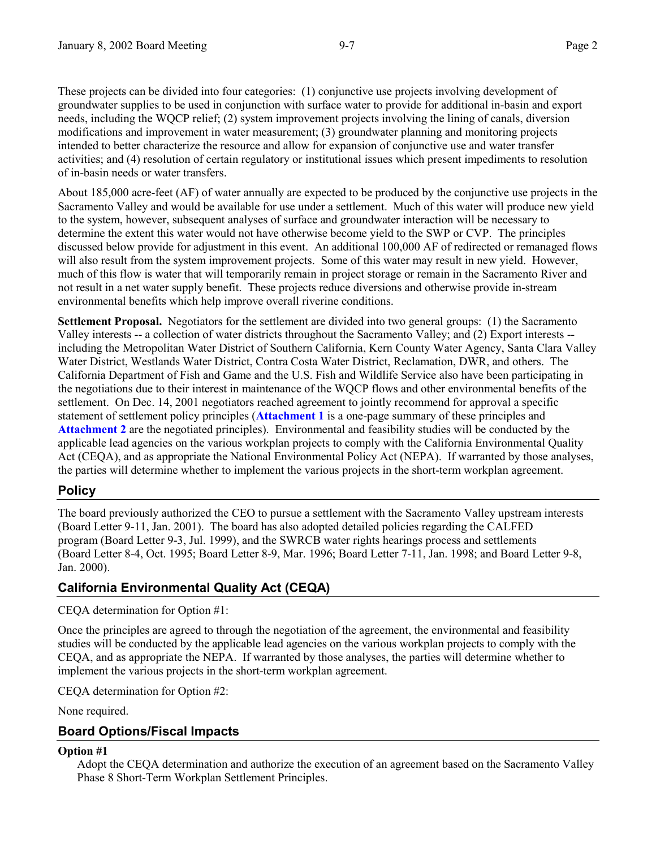These projects can be divided into four categories: (1) conjunctive use projects involving development of groundwater supplies to be used in conjunction with surface water to provide for additional in-basin and export needs, including the WQCP relief; (2) system improvement projects involving the lining of canals, diversion modifications and improvement in water measurement; (3) groundwater planning and monitoring projects intended to better characterize the resource and allow for expansion of conjunctive use and water transfer activities; and (4) resolution of certain regulatory or institutional issues which present impediments to resolution of in-basin needs or water transfers.

About 185,000 acre-feet (AF) of water annually are expected to be produced by the conjunctive use projects in the Sacramento Valley and would be available for use under a settlement. Much of this water will produce new yield to the system, however, subsequent analyses of surface and groundwater interaction will be necessary to determine the extent this water would not have otherwise become yield to the SWP or CVP. The principles discussed below provide for adjustment in this event. An additional 100,000 AF of redirected or remanaged flows will also result from the system improvement projects. Some of this water may result in new yield. However, much of this flow is water that will temporarily remain in project storage or remain in the Sacramento River and not result in a net water supply benefit. These projects reduce diversions and otherwise provide in-stream environmental benefits which help improve overall riverine conditions.

**Settlement Proposal.** Negotiators for the settlement are divided into two general groups: (1) the Sacramento Valley interests -- a collection of water districts throughout the Sacramento Valley; and (2) Export interests - including the Metropolitan Water District of Southern California, Kern County Water Agency, Santa Clara Valley Water District, Westlands Water District, Contra Costa Water District, Reclamation, DWR, and others. The California Department of Fish and Game and the U.S. Fish and Wildlife Service also have been participating in the negotiations due to their interest in maintenance of the WQCP flows and other environmental benefits of the settlement. On Dec. 14, 2001 negotiators reached agreement to jointly recommend for approval a specific statement of settlement policy principles (**Attachment 1** is a one-page summary of these principles and **Attachment 2** are the negotiated principles). Environmental and feasibility studies will be conducted by the applicable lead agencies on the various workplan projects to comply with the California Environmental Quality Act (CEQA), and as appropriate the National Environmental Policy Act (NEPA). If warranted by those analyses, the parties will determine whether to implement the various projects in the short-term workplan agreement.

#### **Policy**

The board previously authorized the CEO to pursue a settlement with the Sacramento Valley upstream interests (Board Letter 9-11, Jan. 2001). The board has also adopted detailed policies regarding the CALFED program (Board Letter 9-3, Jul. 1999), and the SWRCB water rights hearings process and settlements (Board Letter 8-4, Oct. 1995; Board Letter 8-9, Mar. 1996; Board Letter 7-11, Jan. 1998; and Board Letter 9-8, Jan. 2000).

# **California Environmental Quality Act (CEQA)**

CEQA determination for Option #1:

Once the principles are agreed to through the negotiation of the agreement, the environmental and feasibility studies will be conducted by the applicable lead agencies on the various workplan projects to comply with the CEQA, and as appropriate the NEPA. If warranted by those analyses, the parties will determine whether to implement the various projects in the short-term workplan agreement.

CEQA determination for Option #2:

None required.

# **Board Options/Fiscal Impacts**

#### **Option #1**

Adopt the CEQA determination and authorize the execution of an agreement based on the Sacramento Valley Phase 8 Short-Term Workplan Settlement Principles.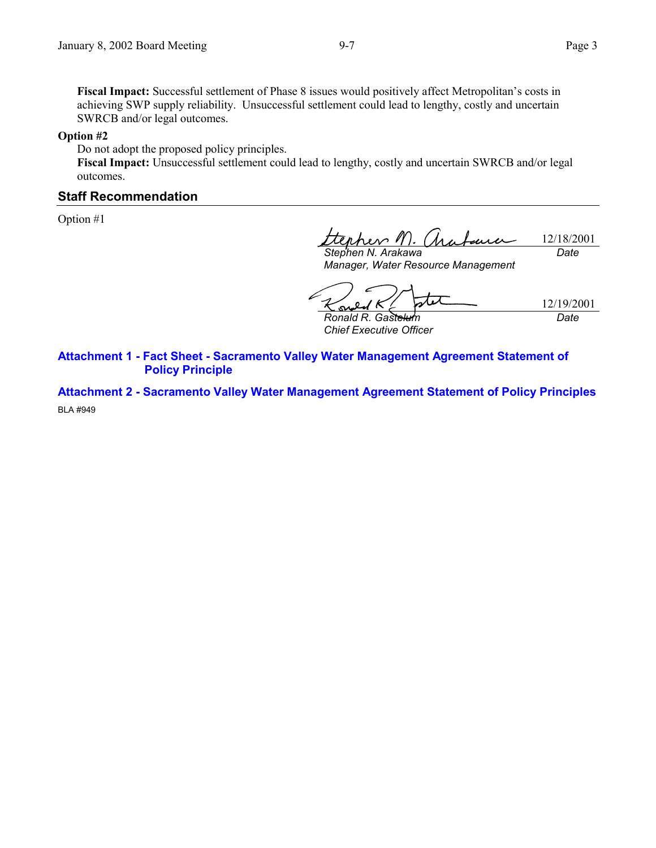Fiscal Impact: Successful settlement of Phase 8 issues would positively affect Metropolitan's costs in achieving SWP supply reliability. Unsuccessful settlement could lead to lengthy, costly and uncertain SWRCB and/or legal outcomes.

#### **Option #2**

Do not adopt the proposed policy principles.

**Fiscal Impact:** Unsuccessful settlement could lead to lengthy, costly and uncertain SWRCB and/or legal outcomes.

#### **Staff Recommendation**

Option #1

nher / 12/18/2001 *Stephen N. Arakawa Date*

*Manager, Water Resource Management*

12/19/2001 *Ronald R. Gastelum Date*

*Chief Executive Officer*

**Attachment 1 - Fact Sheet - Sacramento Valley Water Management Agreement Statement of Policy Principle**

**Attachment 2 - Sacramento Valley Water Management Agreement Statement of Policy Principles** BLA #949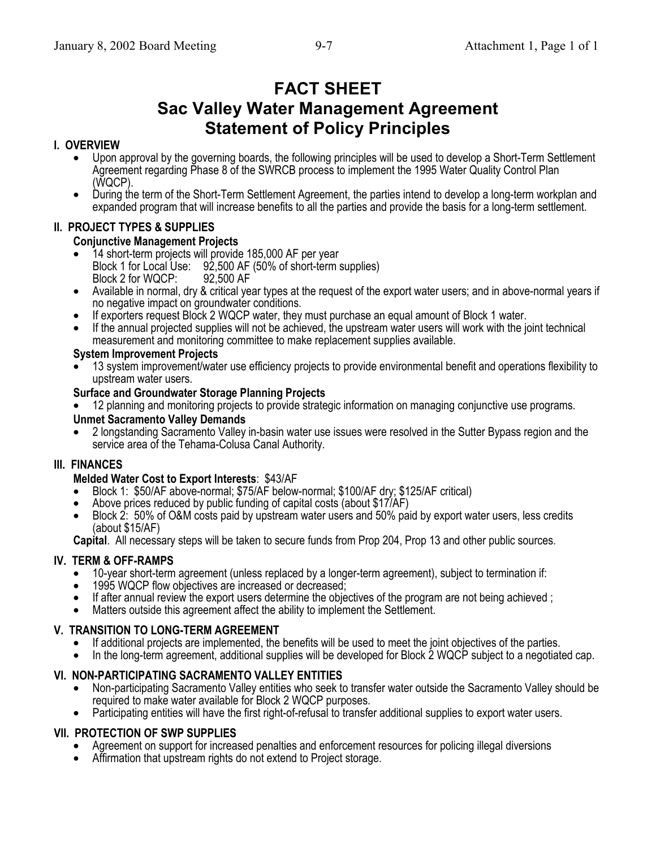# **FACT SHEET**

# **Sac Valley Water Management Agreement Statement of Policy Principles**

# **I. OVERVIEW**

- Upon approval by the governing boards, the following principles will be used to develop a Short-Term Settlement Agreement regarding Phase 8 of the SWRCB process to implement the 1995 Water Quality Control Plan (WQCP).
- During the term of the Short-Term Settlement Agreement, the parties intend to develop a long-term workplan and expanded program that will increase benefits to all the parties and provide the basis for a long-term settlement.

# **II. PROJECT TYPES & SUPPLIES**

#### **Conjunctive Management Projects**

- 14 short-term projects will provide 185,000 AF per year Block 1 for Local Use: 92,500 AF (50% of short-term supplies) Block 2 for WQCP:
- Available in normal, dry & critical year types at the request of the export water users; and in above-normal years if no negative impact on groundwater conditions.
- If exporters request Block 2 WQCP water, they must purchase an equal amount of Block 1 water.
- If the annual projected supplies will not be achieved, the upstream water users will work with the joint technical measurement and monitoring committee to make replacement supplies available.

#### **System Improvement Projects**

• 13 system improvement/water use efficiency projects to provide environmental benefit and operations flexibility to upstream water users.

#### **Surface and Groundwater Storage Planning Projects**

• 12 planning and monitoring projects to provide strategic information on managing conjunctive use programs.

#### **Unmet Sacramento Valley Demands**

• 2 longstanding Sacramento Valley in-basin water use issues were resolved in the Sutter Bypass region and the service area of the Tehama-Colusa Canal Authority.

#### **III. FINANCES**

#### **Melded Water Cost to Export Interests**: \$43/AF

- Block 1: \$50/AF above-normal; \$75/AF below-normal; \$100/AF dry; \$125/AF critical) Above prices reduced by public funding of capital costs (about \$17/AF)
- 
- Block 2: 50% of O&M costs paid by upstream water users and 50% paid by export water users, less credits (about \$15/AF)

**Capital**. All necessary steps will be taken to secure funds from Prop 204, Prop 13 and other public sources.

# **IV. TERM & OFF-RAMPS**

- 10-year short-term agreement (unless replaced by a longer-term agreement), subject to termination if:<br>• 1995 WQCP flow objectives are increased or decreased;
- 
- If after annual review the export users determine the objectives of the program are not being achieved ;<br>• Matters outside this agreement affect the ability to implement the Settlement.
- 

# **V. TRANSITION TO LONG-TERM AGREEMENT**

- If additional projects are implemented, the benefits will be used to meet the joint objectives of the parties.
- In the long-term agreement, additional supplies will be developed for Block 2 WQCP subject to a negotiated cap.

# **VI. NON-PARTICIPATING SACRAMENTO VALLEY ENTITIES**

- Non-participating Sacramento Valley entities who seek to transfer water outside the Sacramento Valley should be required to make water available for Block 2 WQCP purposes.
- Participating entities will have the first right-of-refusal to transfer additional supplies to export water users.

# **VII. PROTECTION OF SWP SUPPLIES**

- Agreement on support for increased penalties and enforcement resources for policing illegal diversions<br>• Affirmation that unstream rights do not extend to Project storage
- Affirmation that upstream rights do not extend to Project storage.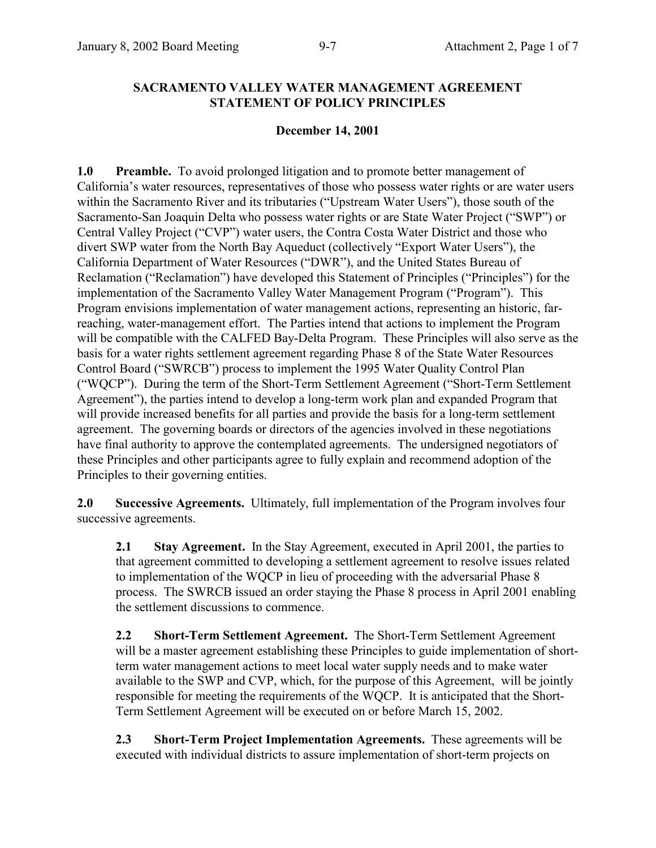#### **SACRAMENTO VALLEY WATER MANAGEMENT AGREEMENT STATEMENT OF POLICY PRINCIPLES**

#### **December 14, 2001**

**1.0 Preamble.** To avoid prolonged litigation and to promote better management of California's water resources, representatives of those who possess water rights or are water users within the Sacramento River and its tributaries ("Upstream Water Users"), those south of the Sacramento-San Joaquin Delta who possess water rights or are State Water Project ("SWP") or Central Valley Project ("CVP") water users, the Contra Costa Water District and those who divert SWP water from the North Bay Aqueduct (collectively "Export Water Users"), the California Department of Water Resources ("DWR"), and the United States Bureau of Reclamation ("Reclamation") have developed this Statement of Principles ("Principles") for the implementation of the Sacramento Valley Water Management Program ("Program"). This Program envisions implementation of water management actions, representing an historic, farreaching, water-management effort. The Parties intend that actions to implement the Program will be compatible with the CALFED Bay-Delta Program. These Principles will also serve as the basis for a water rights settlement agreement regarding Phase 8 of the State Water Resources Control Board ("SWRCB") process to implement the 1995 Water Quality Control Plan ("WOCP"). During the term of the Short-Term Settlement Agreement ("Short-Term Settlement") Agreement"), the parties intend to develop a long-term work plan and expanded Program that will provide increased benefits for all parties and provide the basis for a long-term settlement agreement. The governing boards or directors of the agencies involved in these negotiations have final authority to approve the contemplated agreements. The undersigned negotiators of these Principles and other participants agree to fully explain and recommend adoption of the Principles to their governing entities.

**2.0 Successive Agreements.** Ultimately, full implementation of the Program involves four successive agreements.

**2.1 Stay Agreement.** In the Stay Agreement, executed in April 2001, the parties to that agreement committed to developing a settlement agreement to resolve issues related to implementation of the WQCP in lieu of proceeding with the adversarial Phase 8 process. The SWRCB issued an order staying the Phase 8 process in April 2001 enabling the settlement discussions to commence.

**2.2 Short-Term Settlement Agreement.** The Short-Term Settlement Agreement will be a master agreement establishing these Principles to guide implementation of shortterm water management actions to meet local water supply needs and to make water available to the SWP and CVP, which, for the purpose of this Agreement, will be jointly responsible for meeting the requirements of the WQCP. It is anticipated that the Short-Term Settlement Agreement will be executed on or before March 15, 2002.

**2.3 Short-Term Project Implementation Agreements.** These agreements will be executed with individual districts to assure implementation of short-term projects on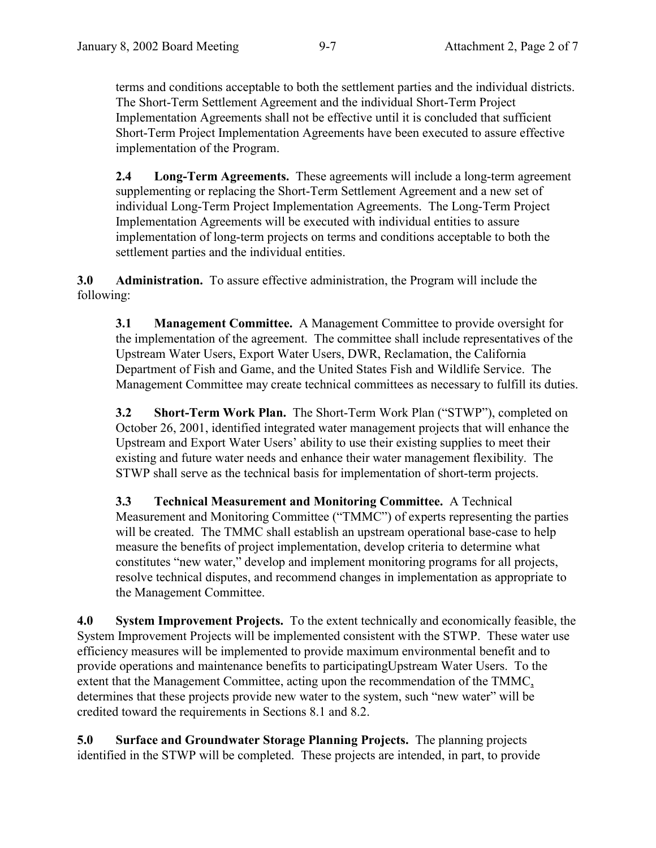terms and conditions acceptable to both the settlement parties and the individual districts. The Short-Term Settlement Agreement and the individual Short-Term Project Implementation Agreements shall not be effective until it is concluded that sufficient Short-Term Project Implementation Agreements have been executed to assure effective implementation of the Program.

**2.4 Long-Term Agreements.** These agreements will include a long-term agreement supplementing or replacing the Short-Term Settlement Agreement and a new set of individual Long-Term Project Implementation Agreements. The Long-Term Project Implementation Agreements will be executed with individual entities to assure implementation of long-term projects on terms and conditions acceptable to both the settlement parties and the individual entities.

**3.0 Administration.** To assure effective administration, the Program will include the following:

**3.1 Management Committee.** A Management Committee to provide oversight for the implementation of the agreement. The committee shall include representatives of the Upstream Water Users, Export Water Users, DWR, Reclamation, the California Department of Fish and Game, and the United States Fish and Wildlife Service. The Management Committee may create technical committees as necessary to fulfill its duties.

**3.2 Short-Term Work Plan.** The Short-Term Work Plan ("STWP"), completed on October 26, 2001, identified integrated water management projects that will enhance the Upstream and Export Water Users' ability to use their existing supplies to meet their existing and future water needs and enhance their water management flexibility. The STWP shall serve as the technical basis for implementation of short-term projects.

**3.3 Technical Measurement and Monitoring Committee.** A Technical Measurement and Monitoring Committee ("TMMC") of experts representing the parties will be created. The TMMC shall establish an upstream operational base-case to help measure the benefits of project implementation, develop criteria to determine what constitutes "new water," develop and implement monitoring programs for all projects, resolve technical disputes, and recommend changes in implementation as appropriate to the Management Committee.

**4.0 System Improvement Projects.** To the extent technically and economically feasible, the System Improvement Projects will be implemented consistent with the STWP. These water use efficiency measures will be implemented to provide maximum environmental benefit and to provide operations and maintenance benefits to participatingUpstream Water Users. To the extent that the Management Committee, acting upon the recommendation of the TMMC, determines that these projects provide new water to the system, such "new water" will be credited toward the requirements in Sections 8.1 and 8.2.

**5.0 Surface and Groundwater Storage Planning Projects.** The planning projects identified in the STWP will be completed. These projects are intended, in part, to provide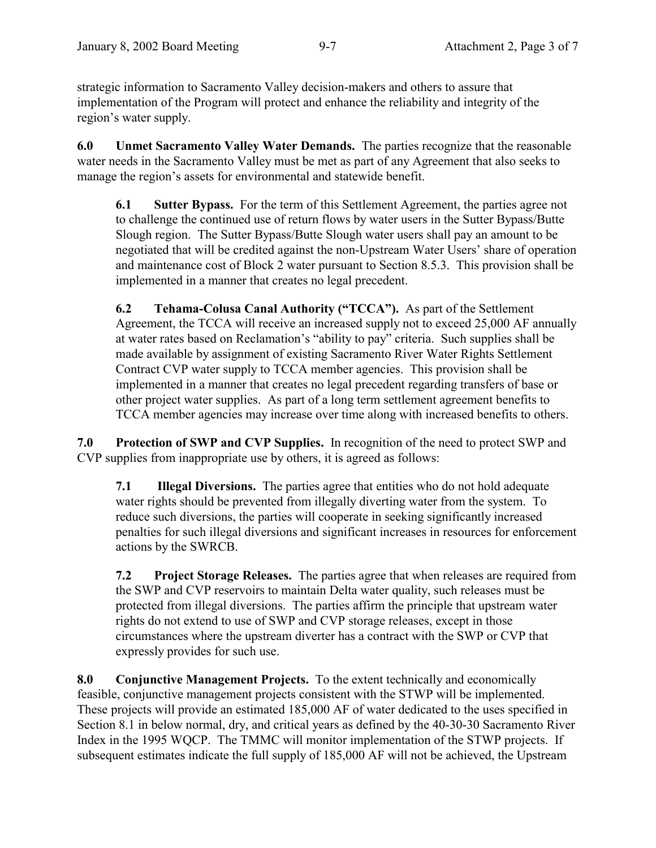strategic information to Sacramento Valley decision-makers and others to assure that implementation of the Program will protect and enhance the reliability and integrity of the region's water supply.

**6.0 Unmet Sacramento Valley Water Demands.** The parties recognize that the reasonable water needs in the Sacramento Valley must be met as part of any Agreement that also seeks to manage the region's assets for environmental and statewide benefit.

**6.1 Sutter Bypass.** For the term of this Settlement Agreement, the parties agree not to challenge the continued use of return flows by water users in the Sutter Bypass/Butte Slough region. The Sutter Bypass/Butte Slough water users shall pay an amount to be negotiated that will be credited against the non-Upstream Water Users' share of operation and maintenance cost of Block 2 water pursuant to Section 8.5.3. This provision shall be implemented in a manner that creates no legal precedent.

**6.2** Tehama-Colusa Canal Authority ("TCCA"). As part of the Settlement Agreement, the TCCA will receive an increased supply not to exceed 25,000 AF annually at water rates based on Reclamation's "ability to pay" criteria. Such supplies shall be made available by assignment of existing Sacramento River Water Rights Settlement Contract CVP water supply to TCCA member agencies. This provision shall be implemented in a manner that creates no legal precedent regarding transfers of base or other project water supplies. As part of a long term settlement agreement benefits to TCCA member agencies may increase over time along with increased benefits to others.

**7.0 Protection of SWP and CVP Supplies.** In recognition of the need to protect SWP and CVP supplies from inappropriate use by others, it is agreed as follows:

**7.1 Illegal Diversions.** The parties agree that entities who do not hold adequate water rights should be prevented from illegally diverting water from the system. To reduce such diversions, the parties will cooperate in seeking significantly increased penalties for such illegal diversions and significant increases in resources for enforcement actions by the SWRCB.

**7.2 Project Storage Releases.** The parties agree that when releases are required from the SWP and CVP reservoirs to maintain Delta water quality, such releases must be protected from illegal diversions. The parties affirm the principle that upstream water rights do not extend to use of SWP and CVP storage releases, except in those circumstances where the upstream diverter has a contract with the SWP or CVP that expressly provides for such use.

**8.0 Conjunctive Management Projects.** To the extent technically and economically feasible, conjunctive management projects consistent with the STWP will be implemented. These projects will provide an estimated 185,000 AF of water dedicated to the uses specified in Section 8.1 in below normal, dry, and critical years as defined by the 40-30-30 Sacramento River Index in the 1995 WQCP. The TMMC will monitor implementation of the STWP projects. If subsequent estimates indicate the full supply of 185,000 AF will not be achieved, the Upstream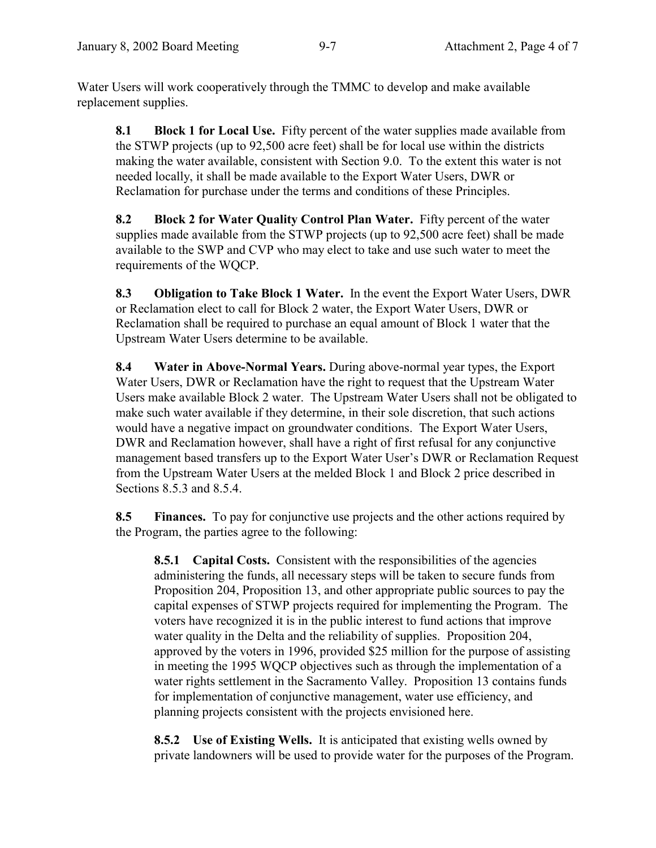Water Users will work cooperatively through the TMMC to develop and make available replacement supplies.

**8.1 Block 1 for Local Use.** Fifty percent of the water supplies made available from the STWP projects (up to 92,500 acre feet) shall be for local use within the districts making the water available, consistent with Section 9.0. To the extent this water is not needed locally, it shall be made available to the Export Water Users, DWR or Reclamation for purchase under the terms and conditions of these Principles.

**8.2 Block 2 for Water Quality Control Plan Water.** Fifty percent of the water supplies made available from the STWP projects (up to 92,500 acre feet) shall be made available to the SWP and CVP who may elect to take and use such water to meet the requirements of the WQCP.

**8.3 Obligation to Take Block 1 Water.** In the event the Export Water Users, DWR or Reclamation elect to call for Block 2 water, the Export Water Users, DWR or Reclamation shall be required to purchase an equal amount of Block 1 water that the Upstream Water Users determine to be available.

**8.4 Water in Above-Normal Years.** During above-normal year types, the Export Water Users, DWR or Reclamation have the right to request that the Upstream Water Users make available Block 2 water. The Upstream Water Users shall not be obligated to make such water available if they determine, in their sole discretion, that such actions would have a negative impact on groundwater conditions. The Export Water Users, DWR and Reclamation however, shall have a right of first refusal for any conjunctive management based transfers up to the Export Water User's DWR or Reclamation Request from the Upstream Water Users at the melded Block 1 and Block 2 price described in Sections 8.5.3 and 8.5.4.

**8.5 Finances.** To pay for conjunctive use projects and the other actions required by the Program, the parties agree to the following:

**8.5.1 Capital Costs.** Consistent with the responsibilities of the agencies administering the funds, all necessary steps will be taken to secure funds from Proposition 204, Proposition 13, and other appropriate public sources to pay the capital expenses of STWP projects required for implementing the Program. The voters have recognized it is in the public interest to fund actions that improve water quality in the Delta and the reliability of supplies. Proposition 204, approved by the voters in 1996, provided \$25 million for the purpose of assisting in meeting the 1995 WQCP objectives such as through the implementation of a water rights settlement in the Sacramento Valley. Proposition 13 contains funds for implementation of conjunctive management, water use efficiency, and planning projects consistent with the projects envisioned here.

**8.5.2 Use of Existing Wells.** It is anticipated that existing wells owned by private landowners will be used to provide water for the purposes of the Program.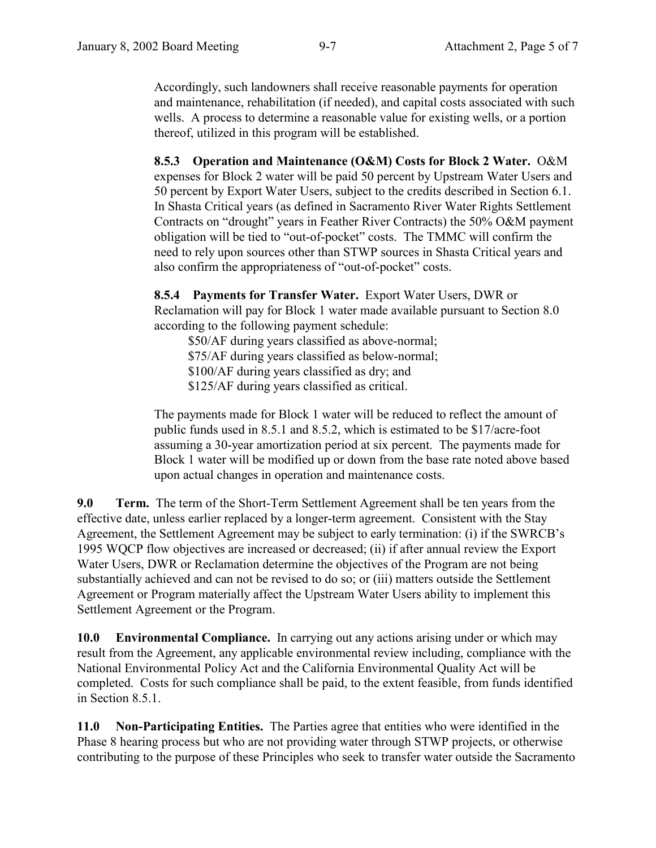Accordingly, such landowners shall receive reasonable payments for operation and maintenance, rehabilitation (if needed), and capital costs associated with such wells. A process to determine a reasonable value for existing wells, or a portion thereof, utilized in this program will be established.

**8.5.3 Operation and Maintenance (O&M) Costs for Block 2 Water.** O&M expenses for Block 2 water will be paid 50 percent by Upstream Water Users and 50 percent by Export Water Users, subject to the credits described in Section 6.1. In Shasta Critical years (as defined in Sacramento River Water Rights Settlement Contracts on "drought" years in Feather River Contracts) the 50% O&M payment obligation will be tied to "out-of-pocket" costs. The TMMC will confirm the need to rely upon sources other than STWP sources in Shasta Critical years and also confirm the appropriateness of "out-of-pocket" costs.

**8.5.4 Payments for Transfer Water.** Export Water Users, DWR or Reclamation will pay for Block 1 water made available pursuant to Section 8.0 according to the following payment schedule:

\$50/AF during years classified as above-normal; \$75/AF during years classified as below-normal; \$100/AF during years classified as dry; and \$125/AF during years classified as critical.

The payments made for Block 1 water will be reduced to reflect the amount of public funds used in 8.5.1 and 8.5.2, which is estimated to be \$17/acre-foot assuming a 30-year amortization period at six percent. The payments made for Block 1 water will be modified up or down from the base rate noted above based upon actual changes in operation and maintenance costs.

**9.0 Term.** The term of the Short-Term Settlement Agreement shall be ten years from the effective date, unless earlier replaced by a longer-term agreement. Consistent with the Stay Agreement, the Settlement Agreement may be subject to early termination: (i) if the SWRCB's 1995 WQCP flow objectives are increased or decreased; (ii) if after annual review the Export Water Users, DWR or Reclamation determine the objectives of the Program are not being substantially achieved and can not be revised to do so; or (iii) matters outside the Settlement Agreement or Program materially affect the Upstream Water Users ability to implement this Settlement Agreement or the Program.

**10.0 Environmental Compliance.** In carrying out any actions arising under or which may result from the Agreement, any applicable environmental review including, compliance with the National Environmental Policy Act and the California Environmental Quality Act will be completed. Costs for such compliance shall be paid, to the extent feasible, from funds identified in Section 8.5.1.

**11.0 Non-Participating Entities.** The Parties agree that entities who were identified in the Phase 8 hearing process but who are not providing water through STWP projects, or otherwise contributing to the purpose of these Principles who seek to transfer water outside the Sacramento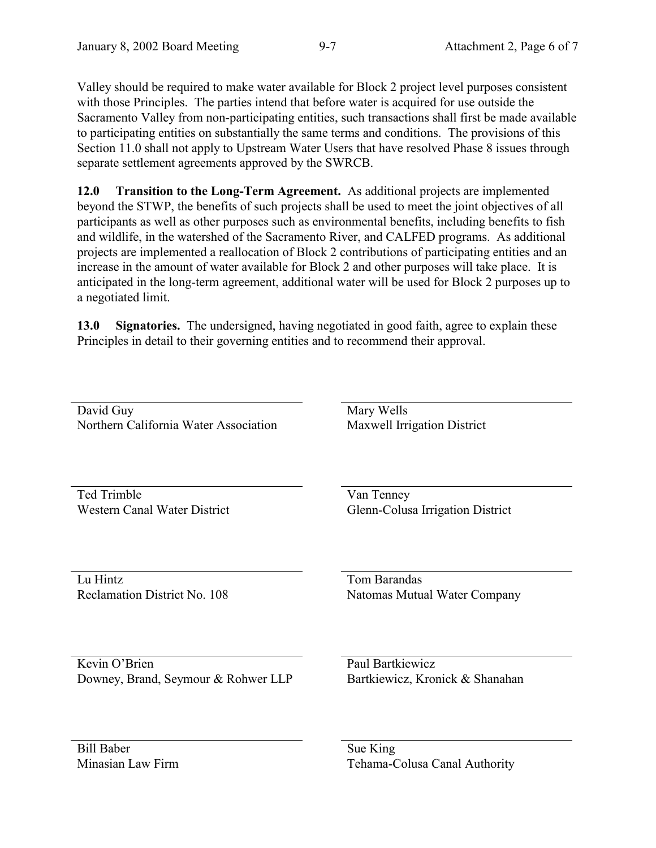Valley should be required to make water available for Block 2 project level purposes consistent with those Principles. The parties intend that before water is acquired for use outside the Sacramento Valley from non-participating entities, such transactions shall first be made available to participating entities on substantially the same terms and conditions. The provisions of this Section 11.0 shall not apply to Upstream Water Users that have resolved Phase 8 issues through separate settlement agreements approved by the SWRCB.

**12.0 Transition to the Long-Term Agreement.** As additional projects are implemented beyond the STWP, the benefits of such projects shall be used to meet the joint objectives of all participants as well as other purposes such as environmental benefits, including benefits to fish and wildlife, in the watershed of the Sacramento River, and CALFED programs. As additional projects are implemented a reallocation of Block 2 contributions of participating entities and an increase in the amount of water available for Block 2 and other purposes will take place. It is anticipated in the long-term agreement, additional water will be used for Block 2 purposes up to a negotiated limit.

**13.0 Signatories.** The undersigned, having negotiated in good faith, agree to explain these Principles in detail to their governing entities and to recommend their approval.

| David Guy                             | Mary Wells                       |
|---------------------------------------|----------------------------------|
| Northern California Water Association | Maxwell Irrigation District      |
|                                       |                                  |
|                                       |                                  |
|                                       |                                  |
|                                       |                                  |
| Ted Trimble                           | Van Tenney                       |
| <b>Western Canal Water District</b>   | Glenn-Colusa Irrigation District |
|                                       |                                  |
|                                       |                                  |
|                                       |                                  |
|                                       |                                  |
| Lu Hintz                              | Tom Barandas                     |
| Reclamation District No. 108          | Natomas Mutual Water Company     |
|                                       |                                  |
|                                       |                                  |
|                                       |                                  |
|                                       |                                  |
| Kevin O'Brien                         | Paul Bartkiewicz                 |
| Downey, Brand, Seymour & Rohwer LLP   | Bartkiewicz, Kronick & Shanahan  |
|                                       |                                  |
|                                       |                                  |
|                                       |                                  |
|                                       |                                  |
| <b>Bill Baber</b>                     | Sue King                         |
| Minasian Law Firm                     | Tehama-Colusa Canal Authority    |
|                                       |                                  |